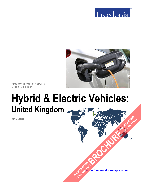



**Freedonia Focus Reports** Global Collection

# **Hybrid & Electric Vehicles: United Kingdom**

**May 2018**

**[www.freedoniafocusreports.com](https://www.freedoniafocusreports.com/redirect.asp?progid=89534&url=/)** CLICK TO ORDER **FULL REPORT** 

**[BROCHURE](https://www.freedoniafocusreports.com/Hybrid-Electric-Vehicles-United-Kingdom-FB85023/?progid=89541) CLICK TO ORDER** 

**FULL REPORT**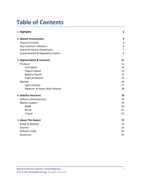# **Table of Contents**

| 1. Highlights                                 | 3              |
|-----------------------------------------------|----------------|
| 2. Market Environment                         | 4              |
| <b>Historical Trends</b>                      | $\overline{4}$ |
| <b>Key Economic Indicators</b>                | 6              |
| Hybrid & Electric Powertrains                 | $\overline{7}$ |
| <b>Environmental &amp; Regulatory Factors</b> | 9              |
| 3. Segmentation & Forecasts                   | 11             |
| Products                                      | 11             |
| Full Hybrid                                   | 13             |
| Plug-In Hybrid                                | 13             |
| <b>Battery Electric</b>                       | 14             |
| <b>Fuel Cell Electric</b>                     | 14             |
| Markets                                       | 16             |
| <b>Light Vehicles</b>                         | 17             |
| Medium- & Heavy-Duty Vehicles                 | 18             |
| 4. Industry Structure                         | 19             |
| <b>Industry Characteristics</b>               | 19             |
| <b>Market Leaders</b>                         | 20             |
| <b>BMW</b>                                    | 20             |
| Nissan                                        | 21             |
| Toyota                                        | 21             |
| 5. About This Report                          | 23             |
| Scope & Method                                | 23             |
| Sources                                       | 24             |
| <b>Industry Codes</b>                         | 24             |
| Resources                                     | 25             |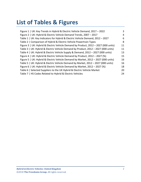# **List of Tables & Figures**

| Figure 1   UK: Key Trends in Hybrid & Electric Vehicle Demand, 2017 - 2022          | 3  |
|-------------------------------------------------------------------------------------|----|
| Figure 2   UK: Hybrid & Electric Vehicle Demand Trends, 2007 - 2017                 | 4  |
| Table 1   UK: Key Indicators for Hybrid & Electric Vehicle Demand, 2012 - 2027      | 6  |
| Table 2   Comparison of Hybrid & Electric Vehicle Powertrain Types                  | 8  |
| Figure 3   UK: Hybrid & Electric Vehicle Demand by Product, 2012 - 2027 (000 units) | 11 |
| Table 3   UK: Hybrid & Electric Vehicle Demand by Product, 2012 - 2027 (000 units)  | 11 |
| Table 4   UK: Hybrid & Electric Vehicle Supply & Demand, 2012 - 2027 (000 units)    | 13 |
| Figure 4   UK: Hybrid & Electric Vehicle Demand by Product, 2012 - 2027 (%)         | 15 |
| Figure 5   UK: Hybrid & Electric Vehicle Demand by Market, 2012 - 2027 (000 units)  | 16 |
| Table 5   UK: Hybrid & Electric Vehicle Demand by Market, 2012 - 2027 (000 units)   | 16 |
| Figure 6   UK: Hybrid & Electric Vehicle Demand by Market, 2012 - 2027 (%)          | 18 |
| Table 6   Selected Suppliers to the UK Hybrid & Electric Vehicle Market             | 20 |
| Table 7   HS Codes Related to Hybrid & Electric Vehicles                            | 24 |
|                                                                                     |    |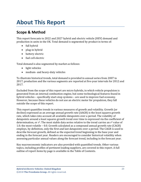# <span id="page-3-0"></span>**About This Report**

# <span id="page-3-1"></span>**Scope & Method**

This report forecasts to 2022 and 2027 hybrid and electric vehicle (HEV) demand and production in units in the UK. Total demand is segmented by product in terms of:

- full hybrid
- plug-in hybrid
- battery electric
- fuel cell electric

Total demand is also segmented by market as follows:

- light vehicles
- medium- and heavy-duty vehicles

To illustrate historical trends, total demand is provided in annual series from 2007 to 2017; production and the various segments are reported at five-year intervals for 2012 and 2017.

Excluded from the scope of this report are micro hybrids, in which vehicle propulsion is generated from an internal combustion engine, but some technological features found in hybrid vehicles – specifically start-stop systems – are used to improve fuel economy. However, because these vehicles do not use an electric motor for propulsion, they fall outside the scope of this report.

This report quantifies trends in various measures of growth and volatility. Growth (or decline) expressed as an average annual growth rate (AAGR) is the least squares growth rate, which takes into account all available datapoints over a period. The volatility of datapoints around a least squares growth trend over time is expressed via the coefficient of determination, or r<sup>2</sup>. The most stable data series relative to the trend carries an r<sup>2</sup> value of 1.0; the most volatile – 0.0. Growth calculated as a compound annual growth rate (CAGR) employs, by definition, only the first and last datapoints over a period. The CAGR is used to describe forecast growth, defined as the expected trend beginning in the base year and ending in the forecast year. Readers are encouraged to consider historical volatility when assessing particular annual values along the forecast trend, including in the forecast year.

Key macroeconomic indicators are also provided with quantified trends. Other various topics, including profiles of pertinent leading suppliers, are covered in this report. A full outline of report items by page is available in the Table of Contents.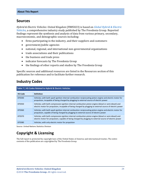### <span id="page-4-0"></span>**Sources**

*Hybrid & Electric Vehicles: United Kingdom* (FB85023) is based on *[Global Hybrid & Electric](http://www.freedoniagroup.com/DocumentDetails.aspx?ReferrerId=FL-FOCUS&studyid=3627)  [Vehicles,](http://www.freedoniagroup.com/DocumentDetails.aspx?ReferrerId=FL-FOCUS&studyid=3627)* a comprehensive industry study published by The Freedonia Group. Reported findings represent the synthesis and analysis of data from various primary, secondary, macroeconomic, and demographic sources including:

- firms participating in the industry, and their suppliers and customers
- government/public agencies
- national, regional, and international non-governmental organizations
- trade associations and their publications
- the business and trade press
- indicator forecasts by The Freedonia Group
- the findings of other reports and studies by The Freedonia Group

Specific sources and additional resources are listed in the Resources section of this publication for reference and to facilitate further research.

# <span id="page-4-1"></span>**Industry Codes**

<span id="page-4-2"></span>

| Table 7   HS Codes Related to Hybrid & Electric Vehicles |                                                                                                                                                                                                                      |  |
|----------------------------------------------------------|----------------------------------------------------------------------------------------------------------------------------------------------------------------------------------------------------------------------|--|
| <b>HS Code</b>                                           | <b>Definition</b>                                                                                                                                                                                                    |  |
| 870340                                                   | Vehicles; with both spark-ignition internal combustion reciprocating piston engine and electric motor for<br>propulsion, incapable of being charged by plugging to external source of electric power                 |  |
| 870350                                                   | Vehicles; with both compression-ignition internal combustion piston engine (diesel or semi-diesel) and<br>electric motor for propulsion, incapable of being charged by plugging to external source of electric power |  |
| 870360                                                   | Vehicles; with both spark-ignition internal combustion reciprocating piston engine and electric motor for<br>propulsion, capable of being charged by plugging to external source of electric power                   |  |
| 870370                                                   | Vehicles; with both compression-ignition internal combustion piston engine (diesel or semi-diesel) and<br>electric motor for propulsion, capable of being charged by plugging to external source of electric power   |  |
| 870380                                                   | Vehicles; with only electric motor for propulsion                                                                                                                                                                    |  |

Source: United Nations Statistics Division

# **Copyright & Licensing**

The full report is protected by copyright laws of the United States of America and international treaties. The entire contents of the publication are copyrighted by The Freedonia Group.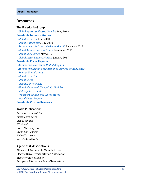### <span id="page-5-0"></span>**Resources**

#### **The Freedonia Group**

 *[Global Hybrid & Electric Vehicles,](http://www.freedoniagroup.com/DocumentDetails.aspx?ReferrerId=FL-FOCUS&studyid=3627)* May 2018 **[Freedonia Industry Studies](http://www.freedoniagroup.com/Home.aspx?ReferrerId=FL-Focus)**  *[Global Batteries](http://www.freedoniagroup.com/DocumentDetails.aspx?ReferrerId=FL-FOCUS&studyid=3569)*, June 2018  *[Global Motorcycles](http://www.freedoniagroup.com/DocumentDetails.aspx?ReferrerId=FL-FOCUS&studyid=3634)*, May 2018 *[Automotive Lubricants Market in the UK](http://www.freedoniagroup.com/DocumentDetails.aspx?ReferrerId=FR-MDA&studyid=3607)*, February 2018  *[Global Automotive Lubricants](http://www.freedoniagroup.com/DocumentDetails.aspx?ReferrerId=FL-FOCUS&studyid=3583)*, December 2017  *[Global Bus Market](http://www.freedoniagroup.com/DocumentDetails.aspx?ReferrerId=FL-FOCUS&studyid=3509)*, May 2017  *[Global Diesel Engines Market](http://www.freedoniagroup.com/DocumentDetails.aspx?ReferrerId=FL-FOCUS&studyid=3488)*, January 2017 **[Freedonia Focus Reports](https://www.freedoniafocusreports.com/redirect.asp?progid=89534&url=/)** *[Automotive Lubricants: United Kingdom](https://www.freedoniafocusreports.com/Automotive-Lubricants-United-Kingdom-FB35115/) [Automotive Repair & Maintenance Services: United States](https://www.freedoniafocusreports.com/Automotive-Repair-Maintenance-Services-United-States-FF95018/)*

 *[Energy: United States](https://www.freedoniafocusreports.com/Energy-United-States-FF45043/) [Global Batteries](https://www.freedoniafocusreports.com/pub/11751581.html) [Global Buses](https://www.freedoniafocusreports.com/Global-Buses-FW85012/) [Global Light Vehicles](https://www.freedoniafocusreports.com/Global-Light-Vehicles-FW85015/) Global Medium- [& Heavy-Duty Vehicles](https://www.freedoniafocusreports.com/Global-Medium-Heavy-Duty-Vehicles-FW85014/) [Motorcycles: Canada](https://www.freedoniafocusreports.com/Motorcycles-Canada-FA85016/) [Transport Equipment: United States](https://www.freedoniafocusreports.com/Transport-Equipment-United-States-FF85030/) [World Diesel Engines](https://www.freedoniafocusreports.com/World-Diesel-Engines-FW45026/)* **[Freedonia Custom Research](http://www.freedoniagroup.com/CustomResearch.aspx?ReferrerId=FL-Focus)**

#### **Trade Publications**

*Automotive Industries Automotive News CleanTechnica EV World Green Car Congress Green Car Reports HybridCars.com Ward's AutoWorld*

#### **Agencies & Associations**

Alliance of Automobile Manufacturers Electric Drive Transportation Association Electric Vehicle Society European Alternative Fuels Observatory